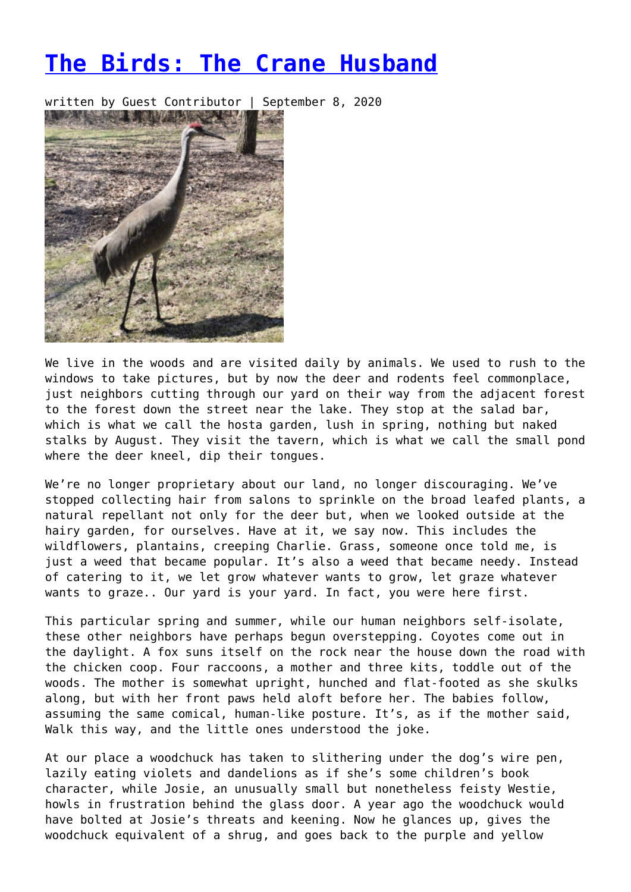## **[The Birds: The Crane Husband](https://entropymag.org/the-birds-the-crane-husband/)**

written by Guest Contributor | September 8, 2020



We live in the woods and are visited daily by animals. We used to rush to the windows to take pictures, but by now the deer and rodents feel commonplace, just neighbors cutting through our yard on their way from the adjacent forest to the forest down the street near the lake. They stop at the salad bar, which is what we call the hosta garden, lush in spring, nothing but naked stalks by August. They visit the tavern, which is what we call the small pond where the deer kneel, dip their tongues.

We're no longer proprietary about our land, no longer discouraging. We've stopped collecting hair from salons to sprinkle on the broad leafed plants, a natural repellant not only for the deer but, when we looked outside at the hairy garden, for ourselves. Have at it, we say now. This includes the wildflowers, plantains, creeping Charlie. Grass, someone once told me, is just a weed that became popular. It's also a weed that became needy. Instead of catering to it, we let grow whatever wants to grow, let graze whatever wants to graze.. Our yard is your yard. In fact, you were here first.

This particular spring and summer, while our human neighbors self-isolate, these other neighbors have perhaps begun overstepping. Coyotes come out in the daylight. A fox suns itself on the rock near the house down the road with the chicken coop. Four raccoons, a mother and three kits, toddle out of the woods. The mother is somewhat upright, hunched and flat-footed as she skulks along, but with her front paws held aloft before her. The babies follow, assuming the same comical, human-like posture. It's, as if the mother said, Walk this way, and the little ones understood the joke.

At our place a woodchuck has taken to slithering under the dog's wire pen, lazily eating violets and dandelions as if she's some children's book character, while Josie, an unusually small but nonetheless feisty Westie, howls in frustration behind the glass door. A year ago the woodchuck would have bolted at Josie's threats and keening. Now he glances up, gives the woodchuck equivalent of a shrug, and goes back to the purple and yellow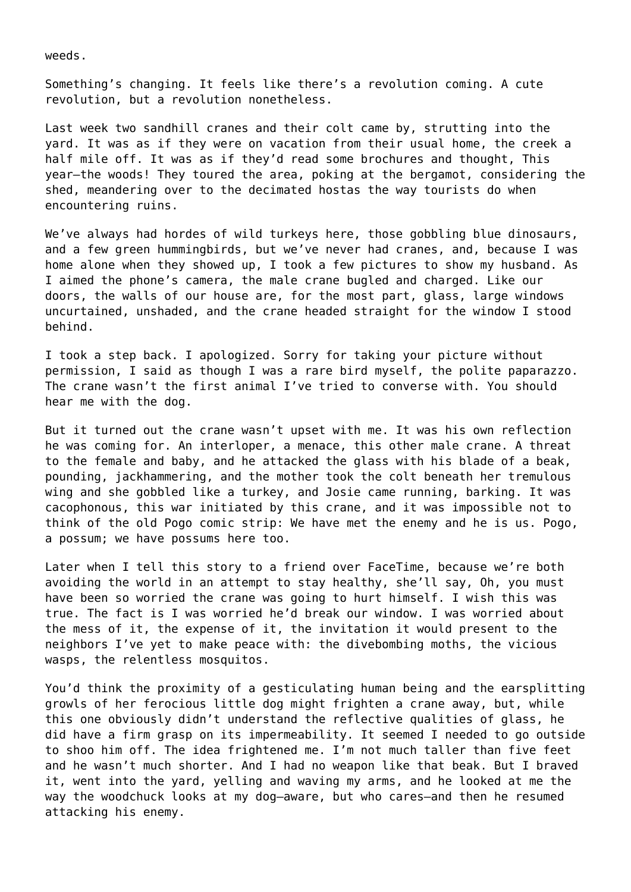weeds.

Something's changing. It feels like there's a revolution coming. A cute revolution, but a revolution nonetheless.

Last week two sandhill cranes and their colt came by, strutting into the yard. It was as if they were on vacation from their usual home, the creek a half mile off. It was as if they'd read some brochures and thought, This year—the woods! They toured the area, poking at the bergamot, considering the shed, meandering over to the decimated hostas the way tourists do when encountering ruins.

We've always had hordes of wild turkeys here, those gobbling blue dinosaurs, and a few green hummingbirds, but we've never had cranes, and, because I was home alone when they showed up, I took a few pictures to show my husband. As I aimed the phone's camera, the male crane bugled and charged. Like our doors, the walls of our house are, for the most part, glass, large windows uncurtained, unshaded, and the crane headed straight for the window I stood behind.

I took a step back. I apologized. Sorry for taking your picture without permission, I said as though I was a rare bird myself, the polite paparazzo. The crane wasn't the first animal I've tried to converse with. You should hear me with the dog.

But it turned out the crane wasn't upset with me. It was his own reflection he was coming for. An interloper, a menace, this other male crane. A threat to the female and baby, and he attacked the glass with his blade of a beak, pounding, jackhammering, and the mother took the colt beneath her tremulous wing and she gobbled like a turkey, and Josie came running, barking. It was cacophonous, this war initiated by this crane, and it was impossible not to think of the old Pogo comic strip: We have met the enemy and he is us. Pogo, a possum; we have possums here too.

Later when I tell this story to a friend over FaceTime, because we're both avoiding the world in an attempt to stay healthy, she'll say, Oh, you must have been so worried the crane was going to hurt himself. I wish this was true. The fact is I was worried he'd break our window. I was worried about the mess of it, the expense of it, the invitation it would present to the neighbors I've yet to make peace with: the divebombing moths, the vicious wasps, the relentless mosquitos.

You'd think the proximity of a gesticulating human being and the earsplitting growls of her ferocious little dog might frighten a crane away, but, while this one obviously didn't understand the reflective qualities of glass, he did have a firm grasp on its impermeability. It seemed I needed to go outside to shoo him off. The idea frightened me. I'm not much taller than five feet and he wasn't much shorter. And I had no weapon like that beak. But I braved it, went into the yard, yelling and waving my arms, and he looked at me the way the woodchuck looks at my dog—aware, but who cares—and then he resumed attacking his enemy.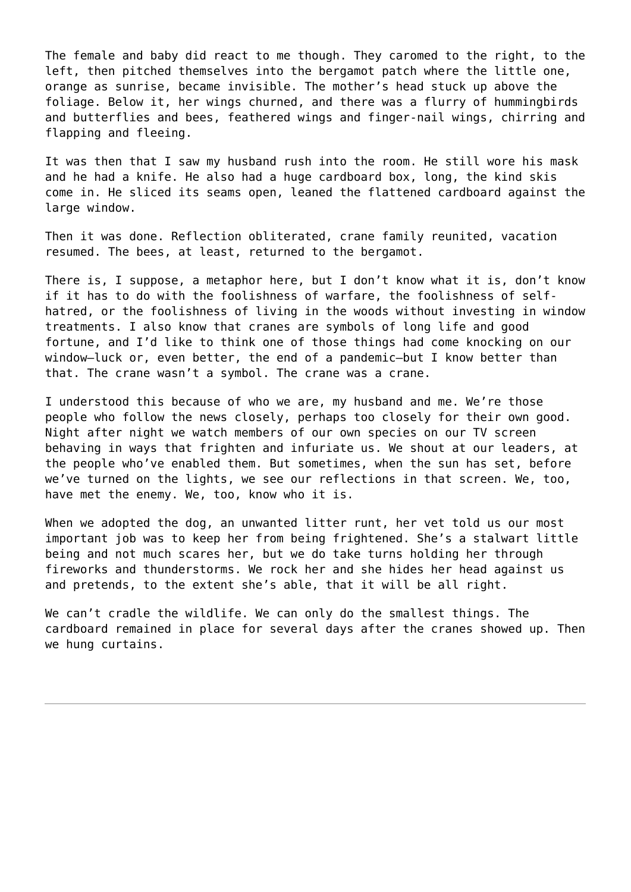The female and baby did react to me though. They caromed to the right, to the left, then pitched themselves into the bergamot patch where the little one, orange as sunrise, became invisible. The mother's head stuck up above the foliage. Below it, her wings churned, and there was a flurry of hummingbirds and butterflies and bees, feathered wings and finger-nail wings, chirring and flapping and fleeing.

It was then that I saw my husband rush into the room. He still wore his mask and he had a knife. He also had a huge cardboard box, long, the kind skis come in. He sliced its seams open, leaned the flattened cardboard against the large window.

Then it was done. Reflection obliterated, crane family reunited, vacation resumed. The bees, at least, returned to the bergamot.

There is, I suppose, a metaphor here, but I don't know what it is, don't know if it has to do with the foolishness of warfare, the foolishness of selfhatred, or the foolishness of living in the woods without investing in window treatments. I also know that cranes are symbols of long life and good fortune, and I'd like to think one of those things had come knocking on our window—luck or, even better, the end of a pandemic—but I know better than that. The crane wasn't a symbol. The crane was a crane.

I understood this because of who we are, my husband and me. We're those people who follow the news closely, perhaps too closely for their own good. Night after night we watch members of our own species on our TV screen behaving in ways that frighten and infuriate us. We shout at our leaders, at the people who've enabled them. But sometimes, when the sun has set, before we've turned on the lights, we see our reflections in that screen. We, too, have met the enemy. We, too, know who it is.

When we adopted the dog, an unwanted litter runt, her vet told us our most important job was to keep her from being frightened. She's a stalwart little being and not much scares her, but we do take turns holding her through fireworks and thunderstorms. We rock her and she hides her head against us and pretends, to the extent she's able, that it will be all right.

We can't cradle the wildlife. We can only do the smallest things. The cardboard remained in place for several days after the cranes showed up. Then we hung curtains.